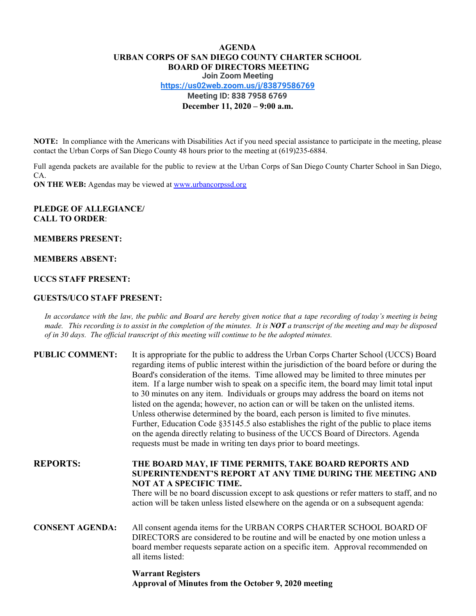# **AGENDA URBAN CORPS OF SAN DIEGO COUNTY CHARTER SCHOOL BOARD OF DIRECTORS MEETING Join Zoom Meeting <https://us02web.zoom.us/j/83879586769> Meeting ID: 838 7958 6769 December 11, 2020 – 9:00 a.m.**

**NOTE:** In compliance with the Americans with Disabilities Act if you need special assistance to participate in the meeting, please contact the Urban Corps of San Diego County 48 hours prior to the meeting at (619)235-6884.

Full agenda packets are available for the public to review at the Urban Corps of San Diego County Charter School in San Diego, CA.

**ON THE WEB:** Agendas may be viewed at [www.urbancorpssd.org](http://www.urbancorpssd.org/)

### **PLEDGE OF ALLEGIANCE/ CALL TO ORDER**:

#### **MEMBERS PRESENT:**

#### **MEMBERS ABSENT:**

#### **UCCS STAFF PRESENT:**

#### **GUESTS/UCO STAFF PRESENT:**

In accordance with the law, the public and Board are hereby given notice that a tape recording of today's meeting is being made. This recording is to assist in the completion of the minutes. It is NOT a transcript of the meeting and may be disposed *of in 30 days. The of icial transcript of this meeting will continue to be the adopted minutes.*

| <b>PUBLIC COMMENT:</b> | It is appropriate for the public to address the Urban Corps Charter School (UCCS) Board<br>regarding items of public interest within the jurisdiction of the board before or during the<br>Board's consideration of the items. Time allowed may be limited to three minutes per<br>item. If a large number wish to speak on a specific item, the board may limit total input<br>to 30 minutes on any item. Individuals or groups may address the board on items not<br>listed on the agenda; however, no action can or will be taken on the unlisted items.<br>Unless otherwise determined by the board, each person is limited to five minutes.<br>Further, Education Code §35145.5 also establishes the right of the public to place items<br>on the agenda directly relating to business of the UCCS Board of Directors. Agenda<br>requests must be made in writing ten days prior to board meetings. |
|------------------------|----------------------------------------------------------------------------------------------------------------------------------------------------------------------------------------------------------------------------------------------------------------------------------------------------------------------------------------------------------------------------------------------------------------------------------------------------------------------------------------------------------------------------------------------------------------------------------------------------------------------------------------------------------------------------------------------------------------------------------------------------------------------------------------------------------------------------------------------------------------------------------------------------------|
| <b>REPORTS:</b>        | THE BOARD MAY, IF TIME PERMITS, TAKE BOARD REPORTS AND<br>SUPERINTENDENT'S REPORT AT ANY TIME DURING THE MEETING AND<br><b>NOT AT A SPECIFIC TIME.</b><br>There will be no board discussion except to ask questions or refer matters to staff, and no<br>action will be taken unless listed elsewhere on the agenda or on a subsequent agenda:                                                                                                                                                                                                                                                                                                                                                                                                                                                                                                                                                           |
| <b>CONSENT AGENDA:</b> | All consent agenda items for the URBAN CORPS CHARTER SCHOOL BOARD OF<br>DIRECTORS are considered to be routine and will be enacted by one motion unless a<br>board member requests separate action on a specific item. Approval recommended on<br>all items listed:                                                                                                                                                                                                                                                                                                                                                                                                                                                                                                                                                                                                                                      |

## **Warrant Registers Approval of Minutes from the October 9, 2020 meeting**